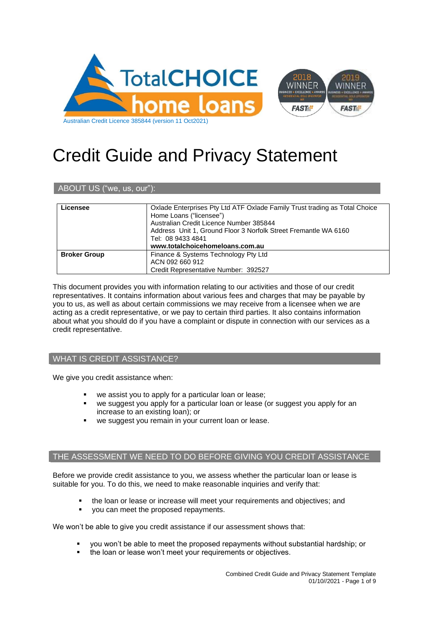

# Credit Guide and Privacy Statement

# ABOUT US ("we, us, our"):

| Licensee            | Oxlade Enterprises Pty Ltd ATF Oxlade Family Trust trading as Total Choice<br>Home Loans ("licensee")<br>Australian Credit Licence Number 385844<br>Address Unit 1, Ground Floor 3 Norfolk Street Fremantle WA 6160 |
|---------------------|---------------------------------------------------------------------------------------------------------------------------------------------------------------------------------------------------------------------|
|                     | Tel: 08 9433 4841                                                                                                                                                                                                   |
|                     | www.totalchoicehomeloans.com.au                                                                                                                                                                                     |
| <b>Broker Group</b> | Finance & Systems Technology Pty Ltd                                                                                                                                                                                |
|                     | ACN 092 660 912                                                                                                                                                                                                     |
|                     | Credit Representative Number: 392527                                                                                                                                                                                |

This document provides you with information relating to our activities and those of our credit representatives. It contains information about various fees and charges that may be payable by you to us, as well as about certain commissions we may receive from a licensee when we are acting as a credit representative, or we pay to certain third parties. It also contains information about what you should do if you have a complaint or dispute in connection with our services as a credit representative.

# WHAT IS CREDIT ASSISTANCE?

We give you credit assistance when:

- we assist you to apply for a particular loan or lease;
- we suggest you apply for a particular loan or lease (or suggest you apply for an increase to an existing loan); or
- we suggest you remain in your current loan or lease.

# THE ASSESSMENT WE NEED TO DO BEFORE GIVING YOU CREDIT ASSISTANCE

Before we provide credit assistance to you, we assess whether the particular loan or lease is suitable for you. To do this, we need to make reasonable inquiries and verify that:

- the loan or lease or increase will meet your requirements and objectives; and
- you can meet the proposed repayments.

We won't be able to give you credit assistance if our assessment shows that:

- you won't be able to meet the proposed repayments without substantial hardship; or
- the loan or lease won't meet your requirements or objectives.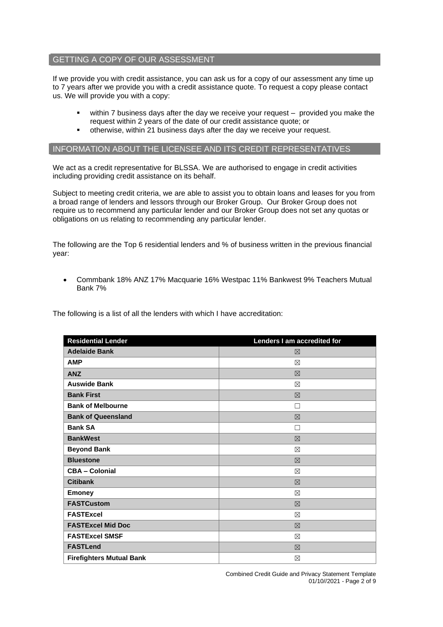# GETTING A COPY OF OUR ASSESSMENT

If we provide you with credit assistance, you can ask us for a copy of our assessment any time up to 7 years after we provide you with a credit assistance quote. To request a copy please contact us. We will provide you with a copy:

- within 7 business days after the day we receive your request provided you make the request within 2 years of the date of our credit assistance quote; or
- otherwise, within 21 business days after the day we receive your request.

#### INFORMATION ABOUT THE LICENSEE AND ITS CREDIT REPRESENTATIVES

We act as a credit representative for BLSSA. We are authorised to engage in credit activities including providing credit assistance on its behalf.

Subject to meeting credit criteria, we are able to assist you to obtain loans and leases for you from a broad range of lenders and lessors through our Broker Group. Our Broker Group does not require us to recommend any particular lender and our Broker Group does not set any quotas or obligations on us relating to recommending any particular lender.

The following are the Top 6 residential lenders and % of business written in the previous financial year:

• Commbank 18% ANZ 17% Macquarie 16% Westpac 11% Bankwest 9% Teachers Mutual Bank 7%

The following is a list of all the lenders with which I have accreditation:

| <b>Residential Lender</b>       | Lenders I am accredited for |
|---------------------------------|-----------------------------|
| <b>Adelaide Bank</b>            | ⊠                           |
| <b>AMP</b>                      | ⊠                           |
| <b>ANZ</b>                      | 区                           |
| <b>Auswide Bank</b>             | ⊠                           |
| <b>Bank First</b>               | 区                           |
| <b>Bank of Melbourne</b>        | П                           |
| <b>Bank of Queensland</b>       | 冈                           |
| <b>Bank SA</b>                  | П                           |
| <b>BankWest</b>                 | $\nabla$                    |
| <b>Beyond Bank</b>              | ⊠                           |
| <b>Bluestone</b>                | 冈                           |
| <b>CBA - Colonial</b>           | ⊠                           |
| <b>Citibank</b>                 | 冈                           |
| <b>Emoney</b>                   | X                           |
| <b>FASTCustom</b>               | 冈                           |
| <b>FASTExcel</b>                | ⊠                           |
| <b>FASTExcel Mid Doc</b>        | 区                           |
| <b>FASTExcel SMSF</b>           | ⊠                           |
| <b>FASTLend</b>                 | 冈                           |
| <b>Firefighters Mutual Bank</b> | ⊠                           |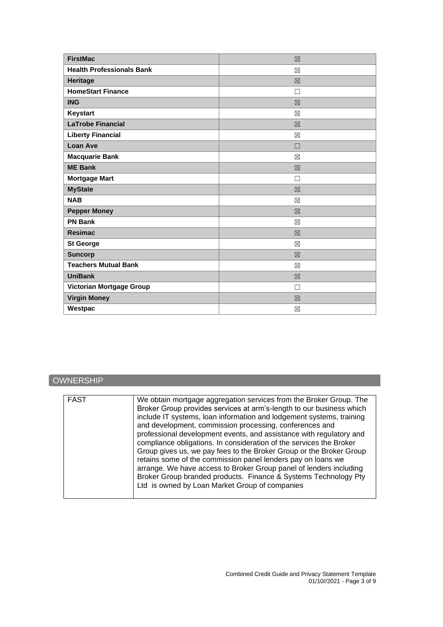| <b>FirstMac</b>                  | 区           |
|----------------------------------|-------------|
| <b>Health Professionals Bank</b> | $\boxtimes$ |
| Heritage                         | $\boxtimes$ |
| <b>HomeStart Finance</b>         | П           |
| <b>ING</b>                       | $\boxtimes$ |
| Keystart                         | $\boxtimes$ |
| <b>LaTrobe Financial</b>         | $\nabla$    |
| <b>Liberty Financial</b>         | ⊠           |
| <b>Loan Ave</b>                  | П           |
| <b>Macquarie Bank</b>            | $\boxtimes$ |
| <b>ME Bank</b>                   | $\boxtimes$ |
| <b>Mortgage Mart</b>             | П           |
| <b>MyState</b>                   | $\nabla$    |
| <b>NAB</b>                       | $\boxtimes$ |
| <b>Pepper Money</b>              | $\nabla$    |
| <b>PN Bank</b>                   | ⊠           |
| <b>Resimac</b>                   | $\boxtimes$ |
| <b>St George</b>                 | $\boxtimes$ |
| <b>Suncorp</b>                   | 区           |
| <b>Teachers Mutual Bank</b>      | ⊠           |
| <b>UniBank</b>                   | $\boxtimes$ |
| Victorian Mortgage Group         | П           |
| <b>Virgin Money</b>              | $\boxtimes$ |
| Westpac                          | ⊠           |

# **OWNERSHIP**

| <b>FAST</b> | We obtain mortgage aggregation services from the Broker Group. The<br>Broker Group provides services at arm's-length to our business which<br>include IT systems, loan information and lodgement systems, training<br>and development, commission processing, conferences and<br>professional development events, and assistance with regulatory and<br>compliance obligations. In consideration of the services the Broker<br>Group gives us, we pay fees to the Broker Group or the Broker Group<br>retains some of the commission panel lenders pay on loans we<br>arrange. We have access to Broker Group panel of lenders including<br>Broker Group branded products. Finance & Systems Technology Pty<br>Ltd is owned by Loan Market Group of companies |
|-------------|---------------------------------------------------------------------------------------------------------------------------------------------------------------------------------------------------------------------------------------------------------------------------------------------------------------------------------------------------------------------------------------------------------------------------------------------------------------------------------------------------------------------------------------------------------------------------------------------------------------------------------------------------------------------------------------------------------------------------------------------------------------|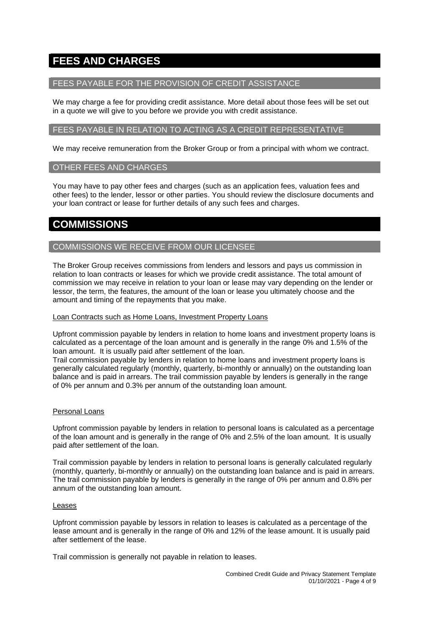# **FEES AND CHARGES**

# FEES PAYABLE FOR THE PROVISION OF CREDIT ASSISTANCE

We may charge a fee for providing credit assistance. More detail about those fees will be set out in a quote we will give to you before we provide you with credit assistance.

# FEES PAYABLE IN RELATION TO ACTING AS A CREDIT REPRESENTATIVE

We may receive remuneration from the Broker Group or from a principal with whom we contract.

#### OTHER FEES AND CHARGES

You may have to pay other fees and charges (such as an application fees, valuation fees and other fees) to the lender, lessor or other parties. You should review the disclosure documents and your loan contract or lease for further details of any such fees and charges.

# **COMMISSIONS**

# COMMISSIONS WE RECEIVE FROM OUR LICENSEE

The Broker Group receives commissions from lenders and lessors and pays us commission in relation to loan contracts or leases for which we provide credit assistance. The total amount of commission we may receive in relation to your loan or lease may vary depending on the lender or lessor, the term, the features, the amount of the loan or lease you ultimately choose and the amount and timing of the repayments that you make.

#### Loan Contracts such as Home Loans, Investment Property Loans

Upfront commission payable by lenders in relation to home loans and investment property loans is calculated as a percentage of the loan amount and is generally in the range 0% and 1.5% of the loan amount. It is usually paid after settlement of the loan.

Trail commission payable by lenders in relation to home loans and investment property loans is generally calculated regularly (monthly, quarterly, bi-monthly or annually) on the outstanding loan balance and is paid in arrears. The trail commission payable by lenders is generally in the range of 0% per annum and 0.3% per annum of the outstanding loan amount.

#### Personal Loans

Upfront commission payable by lenders in relation to personal loans is calculated as a percentage of the loan amount and is generally in the range of 0% and 2.5% of the loan amount. It is usually paid after settlement of the loan.

Trail commission payable by lenders in relation to personal loans is generally calculated regularly (monthly, quarterly, bi-monthly or annually) on the outstanding loan balance and is paid in arrears. The trail commission payable by lenders is generally in the range of 0% per annum and 0.8% per annum of the outstanding loan amount.

#### Leases

Upfront commission payable by lessors in relation to leases is calculated as a percentage of the lease amount and is generally in the range of 0% and 12% of the lease amount. It is usually paid after settlement of the lease.

Trail commission is generally not payable in relation to leases.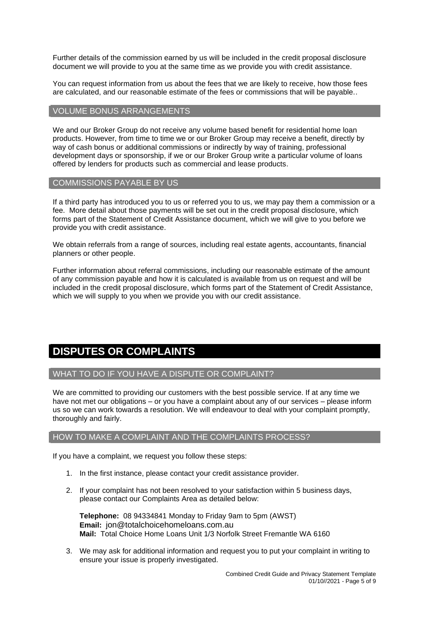Further details of the commission earned by us will be included in the credit proposal disclosure document we will provide to you at the same time as we provide you with credit assistance.

You can request information from us about the fees that we are likely to receive, how those fees are calculated, and our reasonable estimate of the fees or commissions that will be payable..

# VOLUME BONUS ARRANGEMENTS

We and our Broker Group do not receive any volume based benefit for residential home loan products. However, from time to time we or our Broker Group may receive a benefit, directly by way of cash bonus or additional commissions or indirectly by way of training, professional development days or sponsorship, if we or our Broker Group write a particular volume of loans offered by lenders for products such as commercial and lease products.

#### COMMISSIONS PAYABLE BY US

If a third party has introduced you to us or referred you to us, we may pay them a commission or a fee. More detail about those payments will be set out in the credit proposal disclosure, which forms part of the Statement of Credit Assistance document, which we will give to you before we provide you with credit assistance.

We obtain referrals from a range of sources, including real estate agents, accountants, financial planners or other people.

Further information about referral commissions, including our reasonable estimate of the amount of any commission payable and how it is calculated is available from us on request and will be included in the credit proposal disclosure, which forms part of the Statement of Credit Assistance, which we will supply to you when we provide you with our credit assistance.

# **DISPUTES OR COMPLAINTS**

# WHAT TO DO IF YOU HAVE A DISPUTE OR COMPLAINT?

We are committed to providing our customers with the best possible service. If at any time we have not met our obligations – or you have a complaint about any of our services – please inform us so we can work towards a resolution. We will endeavour to deal with your complaint promptly, thoroughly and fairly.

# HOW TO MAKE A COMPLAINT AND THE COMPLAINTS PROCESS?

If you have a complaint, we request you follow these steps:

- 1. In the first instance, please contact your credit assistance provider.
- 2. If your complaint has not been resolved to your satisfaction within 5 business days, please contact our Complaints Area as detailed below:

**Telephone:** 08 94334841 Monday to Friday 9am to 5pm (AWST) **Email:** jon@totalchoicehomeloans.com.au **Mail:** Total Choice Home Loans Unit 1/3 Norfolk Street Fremantle WA 6160

3. We may ask for additional information and request you to put your complaint in writing to ensure your issue is properly investigated.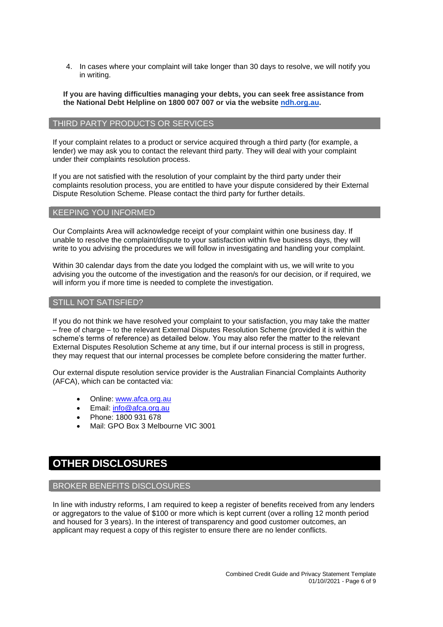4. In cases where your complaint will take longer than 30 days to resolve, we will notify you in writing.

**If you are having difficulties managing your debts, you can seek free assistance from the National Debt Helpline on 1800 007 007 or via the website [ndh.org.au.](http://ndh.org.au/)**

#### THIRD PARTY PRODUCTS OR SERVICES

If your complaint relates to a product or service acquired through a third party (for example, a lender) we may ask you to contact the relevant third party. They will deal with your complaint under their complaints resolution process.

If you are not satisfied with the resolution of your complaint by the third party under their complaints resolution process, you are entitled to have your dispute considered by their External Dispute Resolution Scheme. Please contact the third party for further details.

#### KEEPING YOU INFORMED

Our Complaints Area will acknowledge receipt of your complaint within one business day. If unable to resolve the complaint/dispute to your satisfaction within five business days, they will write to you advising the procedures we will follow in investigating and handling your complaint.

Within 30 calendar days from the date you lodged the complaint with us, we will write to you advising you the outcome of the investigation and the reason/s for our decision, or if required, we will inform you if more time is needed to complete the investigation.

# STILL NOT SATISFIED?

If you do not think we have resolved your complaint to your satisfaction, you may take the matter – free of charge – to the relevant External Disputes Resolution Scheme (provided it is within the scheme's terms of reference) as detailed below. You may also refer the matter to the relevant External Disputes Resolution Scheme at any time, but if our internal process is still in progress, they may request that our internal processes be complete before considering the matter further.

Our external dispute resolution service provider is the Australian Financial Complaints Authority (AFCA), which can be contacted via:

- Online: [www.afca.org.au](http://www.afca.org.au/)
- Email: [info@afca.org.au](mailto:info@afc.org.au)
- Phone: 1800 931 678
- Mail: GPO Box 3 Melbourne VIC 3001

# **OTHER DISCLOSURES**

# BROKER BENEFITS DISCLOSURES

In line with industry reforms, I am required to keep a register of benefits received from any lenders or aggregators to the value of \$100 or more which is kept current (over a rolling 12 month period and housed for 3 years). In the interest of transparency and good customer outcomes, an applicant may request a copy of this register to ensure there are no lender conflicts.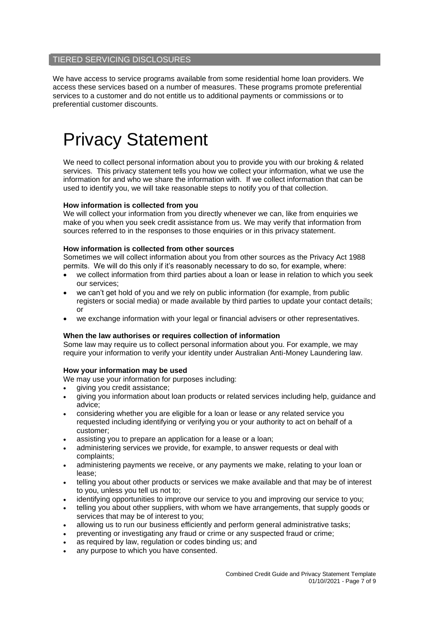# TIERED SERVICING DISCLOSURES

We have access to service programs available from some residential home loan providers. We access these services based on a number of measures. These programs promote preferential services to a customer and do not entitle us to additional payments or commissions or to preferential customer discounts.

# Privacy Statement

We need to collect personal information about you to provide you with our broking & related services. This privacy statement tells you how we collect your information, what we use the information for and who we share the information with. If we collect information that can be used to identify you, we will take reasonable steps to notify you of that collection.

#### **How information is collected from you**

We will collect your information from you directly whenever we can, like from enquiries we make of you when you seek credit assistance from us. We may verify that information from sources referred to in the responses to those enquiries or in this privacy statement.

#### **How information is collected from other sources**

Sometimes we will collect information about you from other sources as the Privacy Act 1988 permits. We will do this only if it's reasonably necessary to do so, for example, where:

- we collect information from third parties about a loan or lease in relation to which you seek our services;
- we can't get hold of you and we rely on public information (for example, from public registers or social media) or made available by third parties to update your contact details; or
- we exchange information with your legal or financial advisers or other representatives.

#### **When the law authorises or requires collection of information**

Some law may require us to collect personal information about you. For example, we may require your information to verify your identity under Australian Anti-Money Laundering law.

# **How your information may be used**

We may use your information for purposes including:

- giving you credit assistance;
- giving you information about loan products or related services including help, guidance and advice;
- considering whether you are eligible for a loan or lease or any related service you requested including identifying or verifying you or your authority to act on behalf of a customer;
- assisting you to prepare an application for a lease or a loan:
- administering services we provide, for example, to answer requests or deal with complaints;
- administering payments we receive, or any payments we make, relating to your loan or lease;
- telling you about other products or services we make available and that may be of interest to you, unless you tell us not to;
- identifying opportunities to improve our service to you and improving our service to you;
- telling you about other suppliers, with whom we have arrangements, that supply goods or services that may be of interest to you;
- allowing us to run our business efficiently and perform general administrative tasks;
- preventing or investigating any fraud or crime or any suspected fraud or crime;
- as required by law, regulation or codes binding us; and
- any purpose to which you have consented.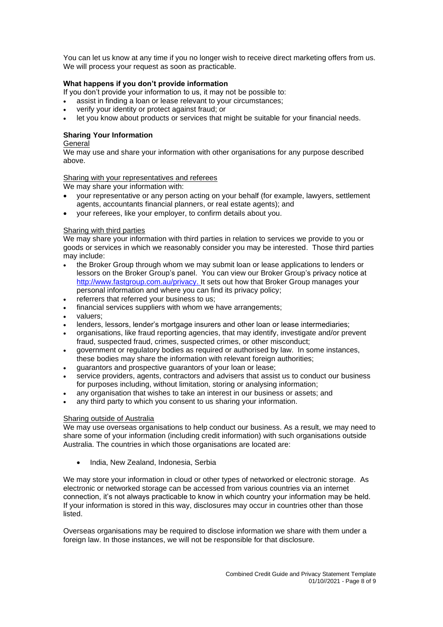You can let us know at any time if you no longer wish to receive direct marketing offers from us. We will process your request as soon as practicable.

#### **What happens if you don't provide information**

If you don't provide your information to us, it may not be possible to:

- assist in finding a loan or lease relevant to your circumstances;
- verify your identity or protect against fraud; or
- let you know about products or services that might be suitable for your financial needs.

# **Sharing Your Information**

#### General

We may use and share your information with other organisations for any purpose described above.

#### Sharing with your representatives and referees

We may share your information with:

- your representative or any person acting on your behalf (for example, lawyers, settlement agents, accountants financial planners, or real estate agents); and
- your referees, like your employer, to confirm details about you.

#### Sharing with third parties

We may share your information with third parties in relation to services we provide to you or goods or services in which we reasonably consider you may be interested. Those third parties may include:

- the Broker Group through whom we may submit loan or lease applications to lenders or lessors on the Broker Group's panel. You can view our Broker Group's privacy notice at [http://www.fastgroup.com.au/privacy.](http://www.fastgroup.com.au/privacy) It sets out how that Broker Group manages your personal information and where you can find its privacy policy;
- referrers that referred your business to us:
- financial services suppliers with whom we have arrangements;
- valuers;
- lenders, lessors, lender's mortgage insurers and other loan or lease intermediaries:
- organisations, like fraud reporting agencies, that may identify, investigate and/or prevent fraud, suspected fraud, crimes, suspected crimes, or other misconduct;
- government or regulatory bodies as required or authorised by law. In some instances, these bodies may share the information with relevant foreign authorities;
- guarantors and prospective guarantors of your loan or lease;
- service providers, agents, contractors and advisers that assist us to conduct our business for purposes including, without limitation, storing or analysing information;
- any organisation that wishes to take an interest in our business or assets; and
- any third party to which you consent to us sharing your information.

#### Sharing outside of Australia

We may use overseas organisations to help conduct our business. As a result, we may need to share some of your information (including credit information) with such organisations outside Australia. The countries in which those organisations are located are:

• India, New Zealand, Indonesia, Serbia

We may store your information in cloud or other types of networked or electronic storage. As electronic or networked storage can be accessed from various countries via an internet connection, it's not always practicable to know in which country your information may be held. If your information is stored in this way, disclosures may occur in countries other than those listed.

Overseas organisations may be required to disclose information we share with them under a foreign law. In those instances, we will not be responsible for that disclosure.